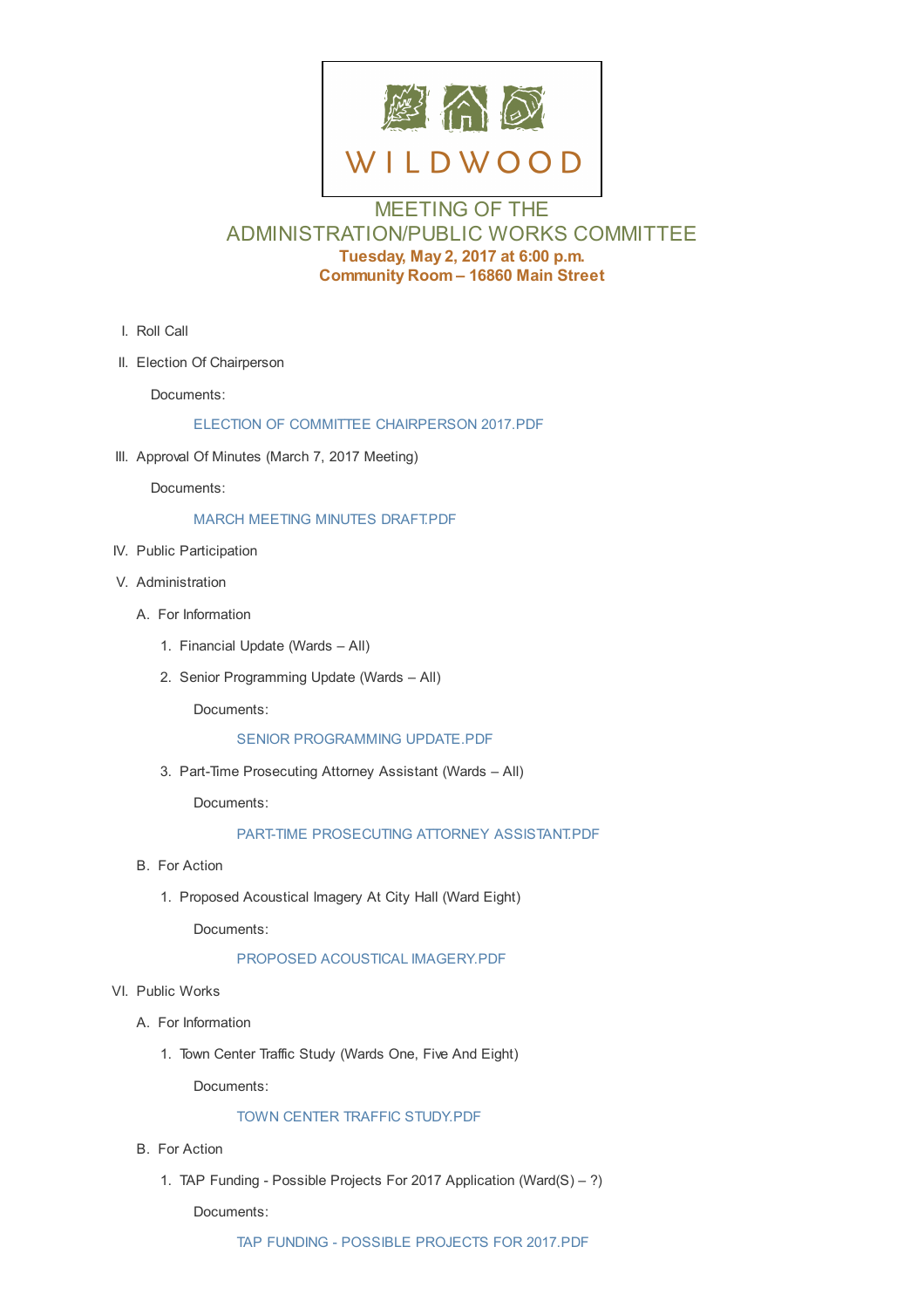

# MEETING OF THE ADMINISTRATION/PUBLIC WORKS COMMITTEE **Tuesday, May 2, 2017 at 6:00 p.m. Community Room – 16860 Main Street**

- I. Roll Call
- II. Election Of Chairperson

Documents:

#### ELECTION OF COMMITTEE CHAIRPERSON 2017.PDF

III. Approval Of Minutes (March 7, 2017 Meeting)

Docu[ments:](http://cityofwildwood.com/AgendaCenter/ViewFile/Item/10707?fileID=15057)

## MARCH MEETING MINUTES DRAFT.PDF

- IV. Public Participation
- V. Administ[ration](http://cityofwildwood.com/AgendaCenter/ViewFile/Item/10708?fileID=15058)
	- A. For Information
		- 1. Financial Update (Wards All)
		- 2. Senior Programming Update (Wards All)

Documents:

#### SENIOR PROGRAMMING UPDATE.PDF

3. Part-Time Prosecuting Attorney Assistant (Wards – All)

Docu[ments:](http://cityofwildwood.com/AgendaCenter/ViewFile/Item/10713?fileID=15059)

## PART-TIME PROSECUTING ATTORNEY ASSISTANT.PDF

- B. For Action
	- 1. Proposed [Acoustical](http://cityofwildwood.com/AgendaCenter/ViewFile/Item/10714?fileID=15060) Imagery At City Hall (Ward Eight)

Documents:

#### PROPOSED ACOUSTICAL IMAGERY.PDF

- VI. Public Works
	- A. For Informati[on](http://cityofwildwood.com/AgendaCenter/ViewFile/Item/10716?fileID=15061)
		- 1. Town Center Traffic Study (Wards One, Five And Eight)

Documents:

#### TOWN CENTER TRAFFIC STUDY.PDF

- B. For Action
	- 1. TAP Funding [Possible](http://cityofwildwood.com/AgendaCenter/ViewFile/Item/10719?fileID=15062) Projects For 2017 Application (Ward(S) ?)

Documents: